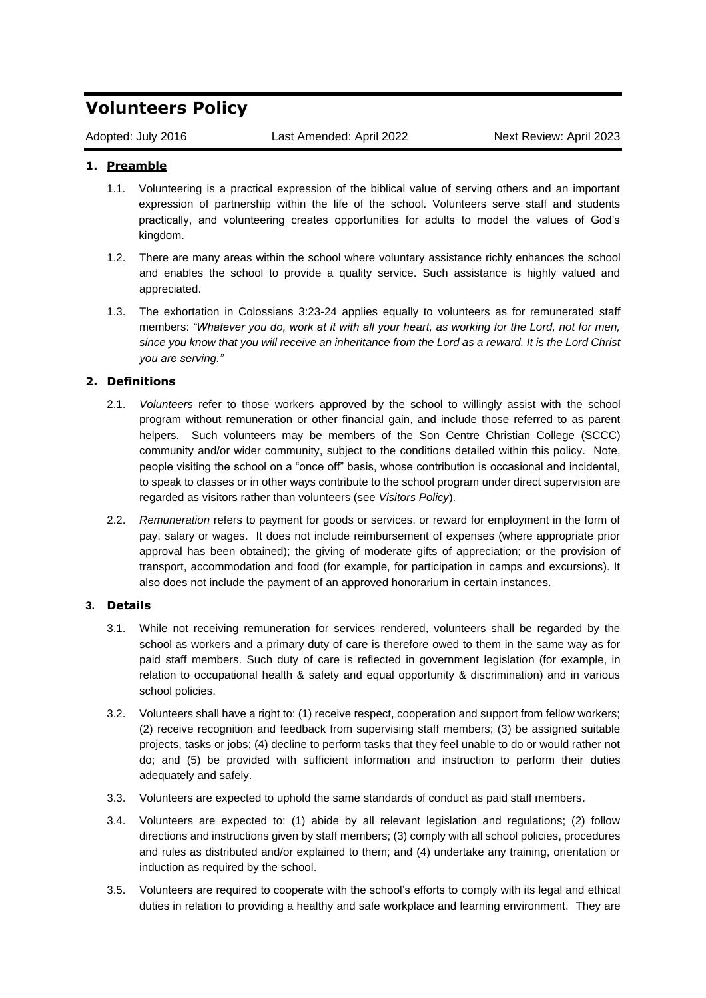## **Volunteers Policy**

Adopted: July 2016 Last Amended: April 2022 Next Review: April 2023

## **1. Preamble**

- 1.1. Volunteering is a practical expression of the biblical value of serving others and an important expression of partnership within the life of the school. Volunteers serve staff and students practically, and volunteering creates opportunities for adults to model the values of God's kingdom.
- 1.2. There are many areas within the school where voluntary assistance richly enhances the school and enables the school to provide a quality service. Such assistance is highly valued and appreciated.
- 1.3. The exhortation in Colossians 3:23-24 applies equally to volunteers as for remunerated staff members: *"Whatever you do, work at it with all your heart, as working for the Lord, not for men, since you know that you will receive an inheritance from the Lord as a reward. It is the Lord Christ you are serving."*

## **2. Definitions**

- 2.1. *Volunteers* refer to those workers approved by the school to willingly assist with the school program without remuneration or other financial gain, and include those referred to as parent helpers. Such volunteers may be members of the Son Centre Christian College (SCCC) community and/or wider community, subject to the conditions detailed within this policy. Note, people visiting the school on a "once off" basis, whose contribution is occasional and incidental, to speak to classes or in other ways contribute to the school program under direct supervision are regarded as visitors rather than volunteers (see *Visitors Policy*).
- 2.2. *Remuneration* refers to payment for goods or services, or reward for employment in the form of pay, salary or wages. It does not include reimbursement of expenses (where appropriate prior approval has been obtained); the giving of moderate gifts of appreciation; or the provision of transport, accommodation and food (for example, for participation in camps and excursions). It also does not include the payment of an approved honorarium in certain instances.

## **3. Details**

- 3.1. While not receiving remuneration for services rendered, volunteers shall be regarded by the school as workers and a primary duty of care is therefore owed to them in the same way as for paid staff members. Such duty of care is reflected in government legislation (for example, in relation to occupational health & safety and equal opportunity & discrimination) and in various school policies.
- 3.2. Volunteers shall have a right to: (1) receive respect, cooperation and support from fellow workers; (2) receive recognition and feedback from supervising staff members; (3) be assigned suitable projects, tasks or jobs; (4) decline to perform tasks that they feel unable to do or would rather not do; and (5) be provided with sufficient information and instruction to perform their duties adequately and safely.
- 3.3. Volunteers are expected to uphold the same standards of conduct as paid staff members.
- 3.4. Volunteers are expected to: (1) abide by all relevant legislation and regulations; (2) follow directions and instructions given by staff members; (3) comply with all school policies, procedures and rules as distributed and/or explained to them; and (4) undertake any training, orientation or induction as required by the school.
- 3.5. Volunteers are required to cooperate with the school's efforts to comply with its legal and ethical duties in relation to providing a healthy and safe workplace and learning environment. They are